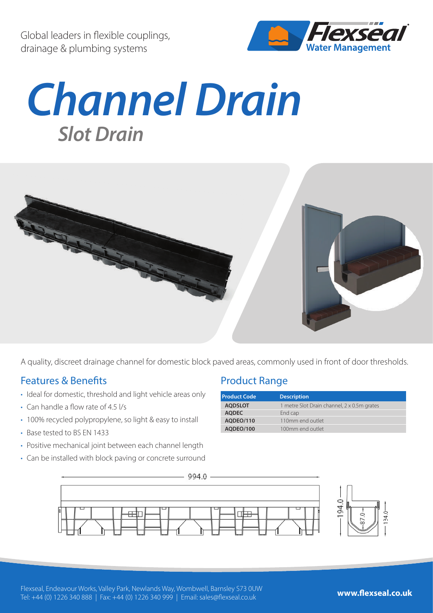Global leaders in flexible couplings, drainage & plumbing systems



## *Channel Drain Slot Drain*



A quality, discreet drainage channel for domestic block paved areas, commonly used in front of door thresholds.

## Features & Benefits

- Ideal for domestic, threshold and light vehicle areas only
- Can handle a flow rate of 4.5 l/s
- 100% recycled polypropylene, so light & easy to install
- Base tested to BS EN 1433
- Positive mechanical joint between each channel length
- Can be installed with block paving or concrete surround

## Product Range

| <b>Product Code</b> | <b>Description</b>                          |
|---------------------|---------------------------------------------|
| <b>AODSLOT</b>      | 1 metre Slot Drain channel, 2 x 0.5m grates |
| <b>AODEC</b>        | End cap                                     |
| AODEO/110           | 110mm end outlet                            |
| AODEO/100           | 100mm end outlet                            |